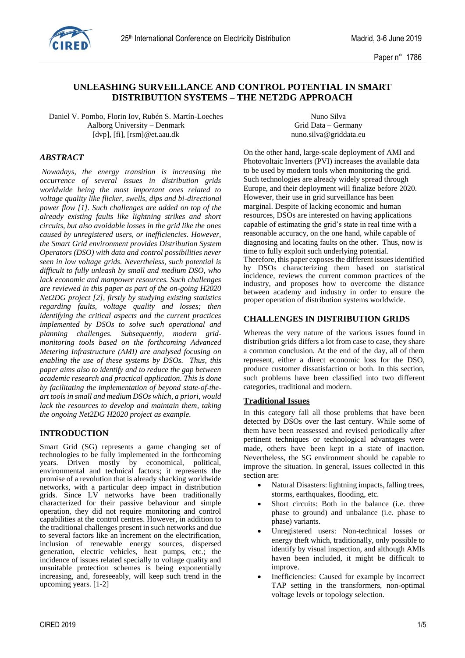

# **UNLEASHING SURVEILLANCE AND CONTROL POTENTIAL IN SMART DISTRIBUTION SYSTEMS – THE NET2DG APPROACH**

Daniel V. Pombo, Florin Iov, Rubén S. Martín-Loeches Aalborg University – Denmark [dvp], [fi], [rsm]@et.aau.dk

Nuno Silva Grid Data – Germany nuno.silva@griddata.eu

## *ABSTRACT*

*Nowadays, the energy transition is increasing the occurrence of several issues in distribution grids worldwide being the most important ones related to voltage quality like flicker, swells, dips and bi-directional power flow [1]. Such challenges are added on top of the already existing faults like lightning strikes and short circuits, but also avoidable losses in the grid like the ones caused by unregistered users, or inefficiencies. However, the Smart Grid environment provides Distribution System Operators (DSO) with data and control possibilities never seen in low voltage grids. Nevertheless, such potential is difficult to fully unleash by small and medium DSO, who lack economic and manpower resources. Such challenges are reviewed in this paper as part of the on-going H2020 Net2DG project [2], firstly by studying existing statistics regarding faults, voltage quality and losses; then identifying the critical aspects and the current practices implemented by DSOs to solve such operational and planning challenges. Subsequently, modern gridmonitoring tools based on the forthcoming Advanced Metering Infrastructure (AMI) are analysed focusing on enabling the use of these systems by DSOs. Thus, this paper aims also to identify and to reduce the gap between academic research and practical application. This is done by facilitating the implementation of beyond state-of-theart tools in small and medium DSOs which, a priori, would lack the resources to develop and maintain them, taking the ongoing Net2DG H2020 project as example.*

## **INTRODUCTION**

Smart Grid (SG) represents a game changing set of technologies to be fully implemented in the forthcoming years. Driven mostly by economical, political, environmental and technical factors; it represents the promise of a revolution that is already shacking worldwide networks, with a particular deep impact in distribution grids. Since LV networks have been traditionally characterized for their passive behaviour and simple operation, they did not require monitoring and control capabilities at the control centres. However, in addition to the traditional challenges present in such networks and due to several factors like an increment on the electrification, inclusion of renewable energy sources, dispersed generation, electric vehicles, heat pumps, etc.; the incidence of issues related specially to voltage quality and unsuitable protection schemes is being exponentially increasing, and, foreseeably, will keep such trend in the upcoming years. [1-2]

On the other hand, large-scale deployment of AMI and Photovoltaic Inverters (PVI) increases the available data to be used by modern tools when monitoring the grid. Such technologies are already widely spread through Europe, and their deployment will finalize before 2020. However, their use in grid surveillance has been marginal. Despite of lacking economic and human resources, DSOs are interested on having applications capable of estimating the grid's state in real time with a reasonable accuracy, on the one hand, while capable of diagnosing and locating faults on the other. Thus, now is time to fully exploit such underlying potential. Therefore, this paper exposes the different issues identified by DSOs characterizing them based on statistical incidence, reviews the current common practices of the industry, and proposes how to overcome the distance between academy and industry in order to ensure the proper operation of distribution systems worldwide.

### **CHALLENGES IN DISTRIBUTION GRIDS**

Whereas the very nature of the various issues found in distribution grids differs a lot from case to case, they share a common conclusion. At the end of the day, all of them represent, either a direct economic loss for the DSO, produce customer dissatisfaction or both. In this section, such problems have been classified into two different categories, traditional and modern.

#### **Traditional Issues**

In this category fall all those problems that have been detected by DSOs over the last century. While some of them have been reassessed and revised periodically after pertinent techniques or technological advantages were made, others have been kept in a state of inaction. Nevertheless, the SG environment should be capable to improve the situation. In general, issues collected in this section are:

- Natural Disasters: lightning impacts, falling trees, storms, earthquakes, flooding, etc.
- Short circuits: Both in the balance (i.e. three phase to ground) and unbalance (i.e. phase to phase) variants.
- Unregistered users: Non-technical losses or energy theft which, traditionally, only possible to identify by visual inspection, and although AMIs haven been included, it might be difficult to improve.
- Inefficiencies: Caused for example by incorrect TAP setting in the transformers, non-optimal voltage levels or topology selection.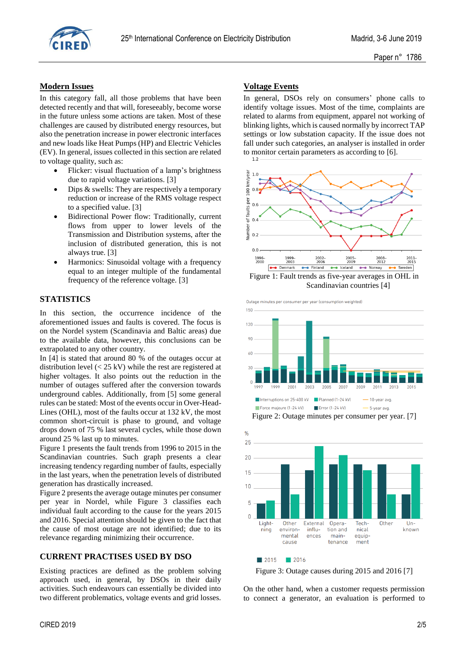

## **Modern Issues**

In this category fall, all those problems that have been detected recently and that will, foreseeably, become worse in the future unless some actions are taken. Most of these challenges are caused by distributed energy resources, but also the penetration increase in power electronic interfaces and new loads like Heat Pumps (HP) and Electric Vehicles (EV). In general, issues collected in this section are related to voltage quality, such as:

- Flicker: visual fluctuation of a lamp's brightness due to rapid voltage variations. [3]
- Dips & swells: They are respectively a temporary reduction or increase of the RMS voltage respect to a specified value. [3]
- Bidirectional Power flow: Traditionally, current flows from upper to lower levels of the Transmission and Distribution systems, after the inclusion of distributed generation, this is not always true. [3]
- Harmonics: Sinusoidal voltage with a frequency equal to an integer multiple of the fundamental frequency of the reference voltage. [3]

## **STATISTICS**

In this section, the occurrence incidence of the aforementioned issues and faults is covered. The focus is on the Nordel system (Scandinavia and Baltic areas) due to the available data, however, this conclusions can be extrapolated to any other country.

In [4] is stated that around 80 % of the outages occur at distribution level (< 25 kV) while the rest are registered at higher voltages. It also points out the reduction in the number of outages suffered after the conversion towards underground cables. Additionally, from [5] some general rules can be stated: Most of the events occur in Over-Head-Lines (OHL), most of the faults occur at 132 kV, the most common short-circuit is phase to ground, and voltage drops down of 75 % last several cycles, while those down around 25 % last up to minutes.

Figure 1 presents the fault trends from 1996 to 2015 in the Scandinavian countries. Such graph presents a clear increasing tendency regarding number of faults, especially in the last years, when the penetration levels of distributed generation has drastically increased.

Figure 2 presents the average outage minutes per consumer per year in Nordel, while Figure 3 classifies each individual fault according to the cause for the years 2015 and 2016. Special attention should be given to the fact that the cause of most outage are not identified; due to its relevance regarding minimizing their occurrence.

## **CURRENT PRACTISES USED BY DSO**

Existing practices are defined as the problem solving approach used, in general, by DSOs in their daily activities. Such endeavours can essentially be divided into two different problematics, voltage events and grid losses.

## **Voltage Events**

In general, DSOs rely on consumers' phone calls to identify voltage issues. Most of the time, complaints are related to alarms from equipment, apparel not working of blinking lights, which is caused normally by incorrect TAP settings or low substation capacity. If the issue does not fall under such categories, an analyser is installed in order to monitor certain parameters as according to [6].



Outage minutes per consumer per year (consumption weighted)



Figure 2: Outage minutes per consumer per year. [7]



Figure 3: Outage causes during 2015 and 2016 [7]

On the other hand, when a customer requests permission to connect a generator, an evaluation is performed to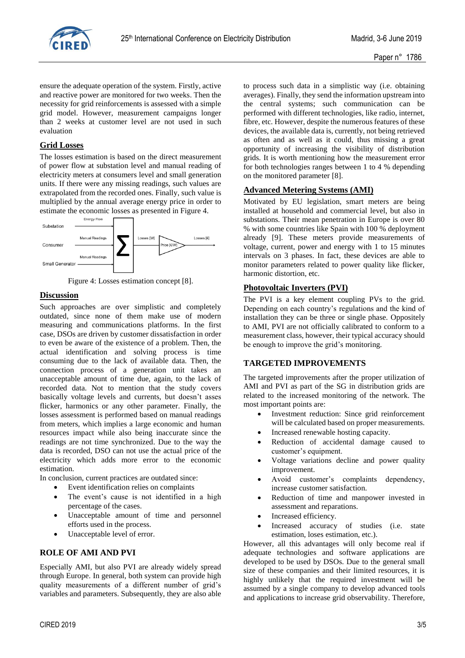

ensure the adequate operation of the system. Firstly, active and reactive power are monitored for two weeks. Then the necessity for grid reinforcements is assessed with a simple grid model. However, measurement campaigns longer than 2 weeks at customer level are not used in such evaluation

## **Grid Losses**

The losses estimation is based on the direct measurement of power flow at substation level and manual reading of electricity meters at consumers level and small generation units. If there were any missing readings, such values are extrapolated from the recorded ones. Finally, such value is multiplied by the annual average energy price in order to estimate the economic losses as presented in Figure 4.



Figure 4: Losses estimation concept [8].

## **Discussion**

Such approaches are over simplistic and completely outdated, since none of them make use of modern measuring and communications platforms. In the first case, DSOs are driven by customer dissatisfaction in order to even be aware of the existence of a problem. Then, the actual identification and solving process is time consuming due to the lack of available data. Then, the connection process of a generation unit takes an unacceptable amount of time due, again, to the lack of recorded data. Not to mention that the study covers basically voltage levels and currents, but doesn't asses flicker, harmonics or any other parameter. Finally, the losses assessment is performed based on manual readings from meters, which implies a large economic and human resources impact while also being inaccurate since the readings are not time synchronized. Due to the way the data is recorded, DSO can not use the actual price of the electricity which adds more error to the economic estimation.

In conclusion, current practices are outdated since:

- Event identification relies on complaints
- The event's cause is not identified in a high percentage of the cases.
- Unacceptable amount of time and personnel efforts used in the process.
- Unacceptable level of error.

## **ROLE OF AMI AND PVI**

Especially AMI, but also PVI are already widely spread through Europe. In general, both system can provide high quality measurements of a different number of grid's variables and parameters. Subsequently, they are also able to process such data in a simplistic way (i.e. obtaining averages). Finally, they send the information upstream into the central systems; such communication can be performed with different technologies, like radio, internet, fibre, etc. However, despite the numerous features of these devices, the available data is, currently, not being retrieved as often and as well as it could, thus missing a great opportunity of increasing the visibility of distribution grids. It is worth mentioning how the measurement error for both technologies ranges between 1 to 4 % depending on the monitored parameter [8].

# **Advanced Metering Systems (AMI)**

Motivated by EU legislation, smart meters are being installed at household and commercial level, but also in substations. Their mean penetration in Europe is over 80 % with some countries like Spain with 100 % deployment already [9]. These meters provide measurements of voltage, current, power and energy with 1 to 15 minutes intervals on 3 phases. In fact, these devices are able to monitor parameters related to power quality like flicker, harmonic distortion, etc.

### **Photovoltaic Inverters (PVI)**

The PVI is a key element coupling PVs to the grid. Depending on each country's regulations and the kind of installation they can be three or single phase. Oppositely to AMI, PVI are not officially calibrated to conform to a measurement class, however, their typical accuracy should be enough to improve the grid's monitoring.

#### **TARGETED IMPROVEMENTS**

The targeted improvements after the proper utilization of AMI and PVI as part of the SG in distribution grids are related to the increased monitoring of the network. The most important points are:

- Investment reduction: Since grid reinforcement will be calculated based on proper measurements.
- Increased renewable hosting capacity.
- Reduction of accidental damage caused to customer's equipment.
- Voltage variations decline and power quality improvement.
- Avoid customer's complaints dependency, increase customer satisfaction.
- Reduction of time and manpower invested in assessment and reparations.
- Increased efficiency.
- Increased accuracy of studies (i.e. state estimation, loses estimation, etc.).

However, all this advantages will only become real if adequate technologies and software applications are developed to be used by DSOs. Due to the general small size of these companies and their limited resources, it is highly unlikely that the required investment will be assumed by a single company to develop advanced tools and applications to increase grid observability. Therefore,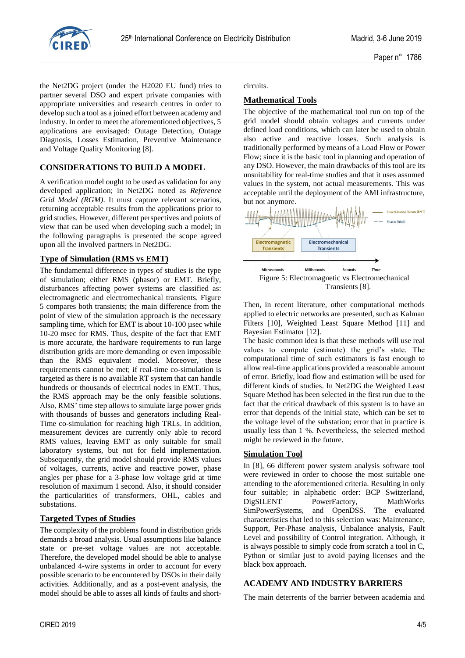

the Net2DG project (under the H2020 EU fund) tries to partner several DSO and expert private companies with appropriate universities and research centres in order to develop such a tool as a joined effort between academy and industry. In order to meet the aforementioned objectives, 5 applications are envisaged: Outage Detection, Outage Diagnosis, Losses Estimation, Preventive Maintenance and Voltage Quality Monitoring [8].

## **CONSIDERATIONS TO BUILD A MODEL**

A verification model ought to be used as validation for any developed application; in Net2DG noted as *Reference Grid Model (RGM)*. It must capture relevant scenarios, returning acceptable results from the applications prior to grid studies. However, different perspectives and points of view that can be used when developing such a model; in the following paragraphs is presented the scope agreed upon all the involved partners in Net2DG.

# **Type of Simulation (RMS vs EMT)**

The fundamental difference in types of studies is the type of simulation; either RMS (phasor) or EMT. Briefly, disturbances affecting power systems are classified as: electromagnetic and electromechanical transients. Figure 5 compares both transients; the main difference from the point of view of the simulation approach is the necessary sampling time, which for EMT is about 10-100 µsec while 10-20 msec for RMS. Thus, despite of the fact that EMT is more accurate, the hardware requirements to run large distribution grids are more demanding or even impossible than the RMS equivalent model. Moreover, these requirements cannot be met; if real-time co-simulation is targeted as there is no available RT system that can handle hundreds or thousands of electrical nodes in EMT. Thus, the RMS approach may be the only feasible solutions. Also, RMS' time step allows to simulate large power grids with thousands of busses and generators including Real-Time co-simulation for reaching high TRLs. In addition, measurement devices are currently only able to record RMS values, leaving EMT as only suitable for small laboratory systems, but not for field implementation. Subsequently, the grid model should provide RMS values of voltages, currents, active and reactive power, phase angles per phase for a 3-phase low voltage grid at time resolution of maximum 1 second. Also, it should consider the particularities of transformers, OHL, cables and substations.

# **Targeted Types of Studies**

The complexity of the problems found in distribution grids demands a broad analysis. Usual assumptions like balance state or pre-set voltage values are not acceptable. Therefore, the developed model should be able to analyse unbalanced 4-wire systems in order to account for every possible scenario to be encountered by DSOs in their daily activities. Additionally, and as a post-event analysis, the model should be able to asses all kinds of faults and shortcircuits.

# **Mathematical Tools**

The objective of the mathematical tool run on top of the grid model should obtain voltages and currents under defined load conditions, which can later be used to obtain also active and reactive losses. Such analysis is traditionally performed by means of a Load Flow or Power Flow; since it is the basic tool in planning and operation of any DSO. However, the main drawbacks of this tool are its unsuitability for real-time studies and that it uses assumed values in the system, not actual measurements. This was acceptable until the deployment of the AMI infrastructure, but not anymore.



Then, in recent literature, other computational methods applied to electric networks are presented, such as Kalman Filters [10], Weighted Least Square Method [11] and Bayesian Estimator [12].

The basic common idea is that these methods will use real values to compute (estimate) the grid's state. The computational time of such estimators is fast enough to allow real-time applications provided a reasonable amount of error. Briefly, load flow and estimation will be used for different kinds of studies. In Net2DG the Weighted Least Square Method has been selected in the first run due to the fact that the critical drawback of this system is to have an error that depends of the initial state, which can be set to the voltage level of the substation; error that in practice is usually less than 1 %. Nevertheless, the selected method might be reviewed in the future.

## **Simulation Tool**

In [8], 66 different power system analysis software tool were reviewed in order to choose the most suitable one attending to the aforementioned criteria. Resulting in only four suitable; in alphabetic order: BCP Switzerland, DigSILENT PowerFactory, MathWorks SimPowerSystems, and OpenDSS. The evaluated characteristics that led to this selection was: Maintenance, Support, Per-Phase analysis, Unbalance analysis, Fault Level and possibility of Control integration. Although, it is always possible to simply code from scratch a tool in C, Python or similar just to avoid paying licenses and the black box approach.

## **ACADEMY AND INDUSTRY BARRIERS**

The main deterrents of the barrier between academia and